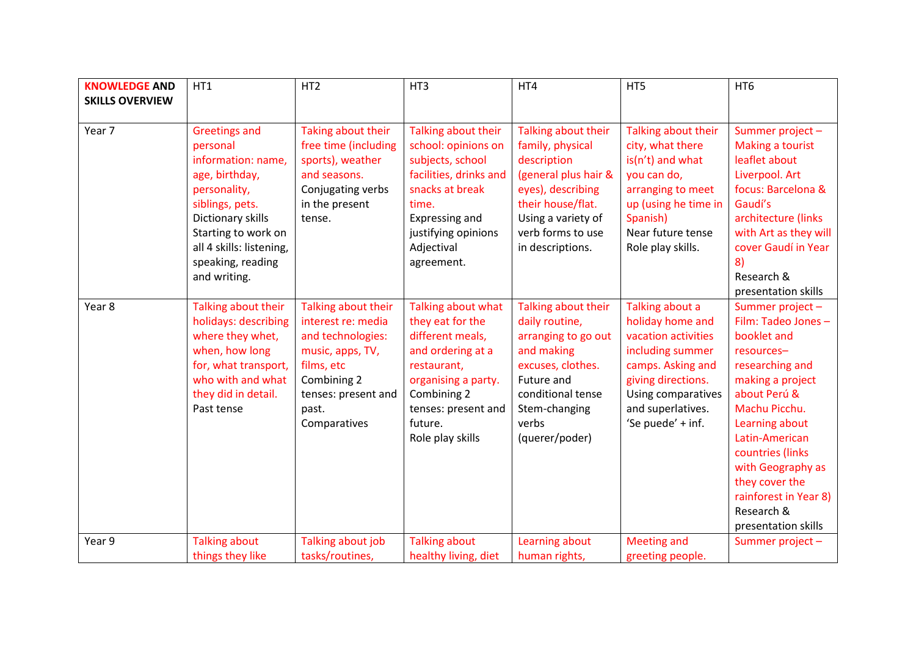| <b>KNOWLEDGE AND</b>   | HT1                                                                                                                                                                                                                      | HT <sub>2</sub>                                                                                                                                                 | HT3                                                                                                                                                                                        | HT4                                                                                                                                                                                     | HT5                                                                                                                                                                                       | HT <sub>6</sub>                                                                                                                                                                                                                                                                                          |
|------------------------|--------------------------------------------------------------------------------------------------------------------------------------------------------------------------------------------------------------------------|-----------------------------------------------------------------------------------------------------------------------------------------------------------------|--------------------------------------------------------------------------------------------------------------------------------------------------------------------------------------------|-----------------------------------------------------------------------------------------------------------------------------------------------------------------------------------------|-------------------------------------------------------------------------------------------------------------------------------------------------------------------------------------------|----------------------------------------------------------------------------------------------------------------------------------------------------------------------------------------------------------------------------------------------------------------------------------------------------------|
| <b>SKILLS OVERVIEW</b> |                                                                                                                                                                                                                          |                                                                                                                                                                 |                                                                                                                                                                                            |                                                                                                                                                                                         |                                                                                                                                                                                           |                                                                                                                                                                                                                                                                                                          |
| Year 7                 | <b>Greetings and</b><br>personal<br>information: name,<br>age, birthday,<br>personality,<br>siblings, pets.<br>Dictionary skills<br>Starting to work on<br>all 4 skills: listening,<br>speaking, reading<br>and writing. | Taking about their<br>free time (including<br>sports), weather<br>and seasons.<br>Conjugating verbs<br>in the present<br>tense.                                 | Talking about their<br>school: opinions on<br>subjects, school<br>facilities, drinks and<br>snacks at break<br>time.<br>Expressing and<br>justifying opinions<br>Adjectival<br>agreement.  | Talking about their<br>family, physical<br>description<br>(general plus hair &<br>eyes), describing<br>their house/flat.<br>Using a variety of<br>verb forms to use<br>in descriptions. | Talking about their<br>city, what there<br>$is(n't)$ and what<br>you can do,<br>arranging to meet<br>up (using he time in<br>Spanish)<br>Near future tense<br>Role play skills.           | Summer project -<br>Making a tourist<br>leaflet about<br>Liverpool. Art<br>focus: Barcelona &<br>Gaudí's<br>architecture (links<br>with Art as they will<br>cover Gaudí in Year<br>8)<br>Research &<br>presentation skills                                                                               |
| Year 8                 | Talking about their<br>holidays: describing<br>where they whet,<br>when, how long<br>for, what transport,<br>who with and what<br>they did in detail.<br>Past tense                                                      | Talking about their<br>interest re: media<br>and technologies:<br>music, apps, TV,<br>films, etc<br>Combining 2<br>tenses: present and<br>past.<br>Comparatives | Talking about what<br>they eat for the<br>different meals,<br>and ordering at a<br>restaurant,<br>organising a party.<br>Combining 2<br>tenses: present and<br>future.<br>Role play skills | Talking about their<br>daily routine,<br>arranging to go out<br>and making<br>excuses, clothes.<br>Future and<br>conditional tense<br>Stem-changing<br>verbs<br>(querer/poder)          | Talking about a<br>holiday home and<br>vacation activities<br>including summer<br>camps. Asking and<br>giving directions.<br>Using comparatives<br>and superlatives.<br>'Se puede' + inf. | Summer project-<br>Film: Tadeo Jones -<br>booklet and<br>resources-<br>researching and<br>making a project<br>about Perú &<br>Machu Picchu.<br>Learning about<br>Latin-American<br>countries (links<br>with Geography as<br>they cover the<br>rainforest in Year 8)<br>Research &<br>presentation skills |
| Year 9                 | <b>Talking about</b><br>things they like                                                                                                                                                                                 | Talking about job<br>tasks/routines,                                                                                                                            | <b>Talking about</b><br>healthy living, diet                                                                                                                                               | Learning about<br>human rights,                                                                                                                                                         | <b>Meeting and</b><br>greeting people.                                                                                                                                                    | Summer project -                                                                                                                                                                                                                                                                                         |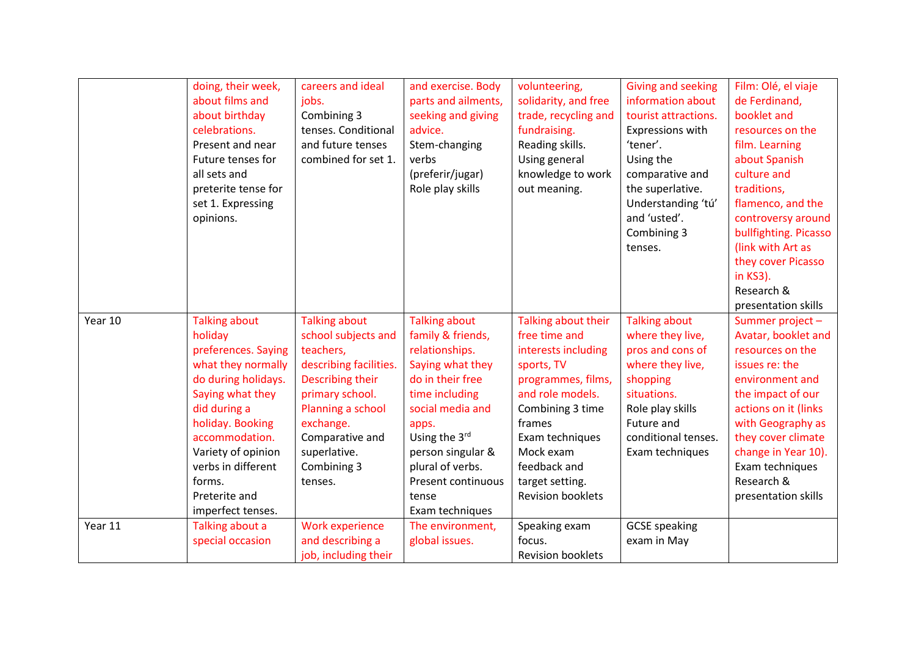|         | doing, their week,   | careers and ideal      | and exercise. Body        | volunteering,            | <b>Giving and seeking</b> | Film: Olé, el viaje   |
|---------|----------------------|------------------------|---------------------------|--------------------------|---------------------------|-----------------------|
|         | about films and      | jobs.                  | parts and ailments,       | solidarity, and free     | information about         | de Ferdinand,         |
|         | about birthday       | Combining 3            | seeking and giving        | trade, recycling and     | tourist attractions.      | booklet and           |
|         | celebrations.        | tenses. Conditional    | advice.                   | fundraising.             | Expressions with          | resources on the      |
|         | Present and near     | and future tenses      | Stem-changing             | Reading skills.          | 'tener'.                  | film. Learning        |
|         | Future tenses for    | combined for set 1.    | verbs                     | Using general            | Using the                 | about Spanish         |
|         | all sets and         |                        | (preferir/jugar)          | knowledge to work        | comparative and           | culture and           |
|         | preterite tense for  |                        | Role play skills          | out meaning.             | the superlative.          | traditions,           |
|         | set 1. Expressing    |                        |                           |                          | Understanding 'tú'        | flamenco, and the     |
|         | opinions.            |                        |                           |                          | and 'usted'.              | controversy around    |
|         |                      |                        |                           |                          | Combining 3               | bullfighting. Picasso |
|         |                      |                        |                           |                          | tenses.                   | (link with Art as     |
|         |                      |                        |                           |                          |                           | they cover Picasso    |
|         |                      |                        |                           |                          |                           | in KS3).              |
|         |                      |                        |                           |                          |                           | Research &            |
|         |                      |                        |                           |                          |                           | presentation skills   |
| Year 10 | <b>Talking about</b> | <b>Talking about</b>   | <b>Talking about</b>      | Talking about their      | <b>Talking about</b>      | Summer project-       |
|         | holiday              | school subjects and    | family & friends,         | free time and            | where they live,          | Avatar, booklet and   |
|         | preferences. Saying  | teachers,              | relationships.            | interests including      | pros and cons of          | resources on the      |
|         | what they normally   | describing facilities. | Saying what they          | sports, TV               | where they live,          | issues re: the        |
|         | do during holidays.  | Describing their       | do in their free          | programmes, films,       | shopping                  | environment and       |
|         | Saying what they     | primary school.        | time including            | and role models.         | situations.               | the impact of our     |
|         | did during a         | Planning a school      | social media and          | Combining 3 time         | Role play skills          | actions on it (links  |
|         | holiday. Booking     | exchange.              | apps.                     | frames                   | Future and                | with Geography as     |
|         | accommodation.       | Comparative and        | Using the 3rd             | Exam techniques          | conditional tenses.       | they cover climate    |
|         | Variety of opinion   | superlative.           | person singular &         | Mock exam                | Exam techniques           | change in Year 10).   |
|         | verbs in different   | Combining 3            | plural of verbs.          | feedback and             |                           | Exam techniques       |
|         | forms.               | tenses.                | <b>Present continuous</b> | target setting.          |                           | Research &            |
|         | Preterite and        |                        | tense                     | <b>Revision booklets</b> |                           | presentation skills   |
|         | imperfect tenses.    |                        | Exam techniques           |                          |                           |                       |
| Year 11 | Talking about a      | Work experience        | The environment,          | Speaking exam            | <b>GCSE</b> speaking      |                       |
|         | special occasion     | and describing a       | global issues.            | focus.                   | exam in May               |                       |
|         |                      | job, including their   |                           | <b>Revision booklets</b> |                           |                       |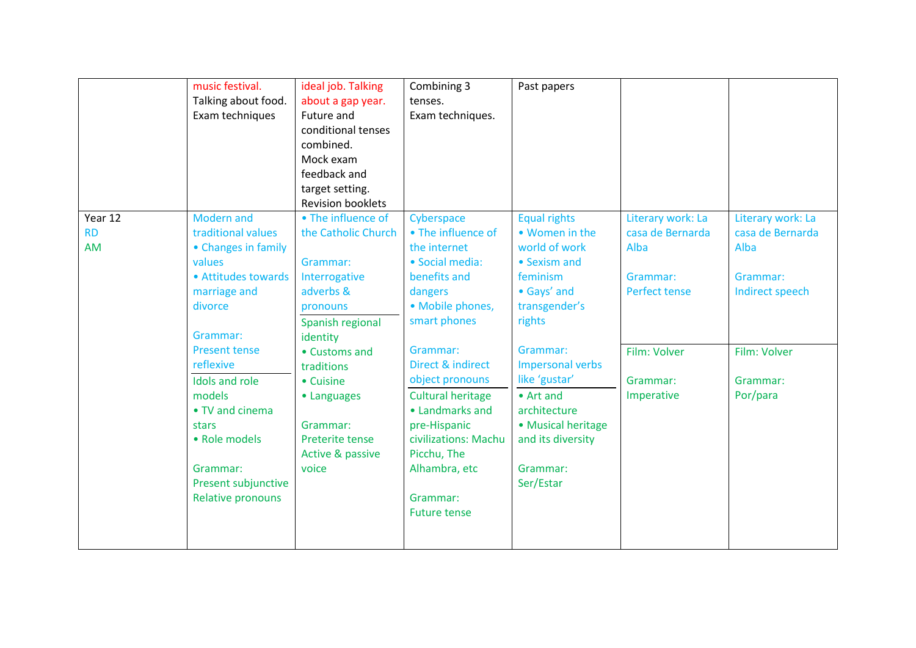|           | music festival.<br>Talking about food.<br>Exam techniques                                                                                                                                                                                                                       | ideal job. Talking<br>about a gap year.<br>Future and<br>conditional tenses<br>combined.<br>Mock exam<br>feedback and<br>target setting.<br><b>Revision booklets</b>                                      | Combining 3<br>tenses.<br>Exam techniques.                                                                                                                                                                                                                                                                   | Past papers                                                                                                                                                                                                                                  |                                                                             |                                                                             |
|-----------|---------------------------------------------------------------------------------------------------------------------------------------------------------------------------------------------------------------------------------------------------------------------------------|-----------------------------------------------------------------------------------------------------------------------------------------------------------------------------------------------------------|--------------------------------------------------------------------------------------------------------------------------------------------------------------------------------------------------------------------------------------------------------------------------------------------------------------|----------------------------------------------------------------------------------------------------------------------------------------------------------------------------------------------------------------------------------------------|-----------------------------------------------------------------------------|-----------------------------------------------------------------------------|
| Year 12   | <b>Modern</b> and                                                                                                                                                                                                                                                               | • The influence of                                                                                                                                                                                        | Cyberspace                                                                                                                                                                                                                                                                                                   | <b>Equal rights</b>                                                                                                                                                                                                                          | Literary work: La                                                           | Literary work: La                                                           |
| <b>RD</b> | traditional values                                                                                                                                                                                                                                                              | the Catholic Church                                                                                                                                                                                       | • The influence of                                                                                                                                                                                                                                                                                           | • Women in the                                                                                                                                                                                                                               | casa de Bernarda                                                            | casa de Bernarda                                                            |
| AM        | • Changes in family<br>values<br>• Attitudes towards<br>marriage and<br>divorce<br>Grammar:<br><b>Present tense</b><br>reflexive<br>Idols and role<br>models<br>• TV and cinema<br>stars<br>• Role models<br>Grammar:<br><b>Present subjunctive</b><br><b>Relative pronouns</b> | Grammar:<br>Interrogative<br>adverbs &<br>pronouns<br>Spanish regional<br>identity<br>• Customs and<br>traditions<br>• Cuisine<br>• Languages<br>Grammar:<br>Preterite tense<br>Active & passive<br>voice | the internet<br>· Social media:<br>benefits and<br>dangers<br>• Mobile phones,<br>smart phones<br>Grammar:<br>Direct & indirect<br>object pronouns<br><b>Cultural heritage</b><br>• Landmarks and<br>pre-Hispanic<br>civilizations: Machu<br>Picchu, The<br>Alhambra, etc<br>Grammar:<br><b>Future tense</b> | world of work<br>• Sexism and<br>feminism<br>• Gays' and<br>transgender's<br>rights<br>Grammar:<br><b>Impersonal verbs</b><br>like 'gustar'<br>• Art and<br>architecture<br>• Musical heritage<br>and its diversity<br>Grammar:<br>Ser/Estar | Alba<br>Grammar:<br>Perfect tense<br>Film: Volver<br>Grammar:<br>Imperative | Alba<br>Grammar:<br>Indirect speech<br>Film: Volver<br>Grammar:<br>Por/para |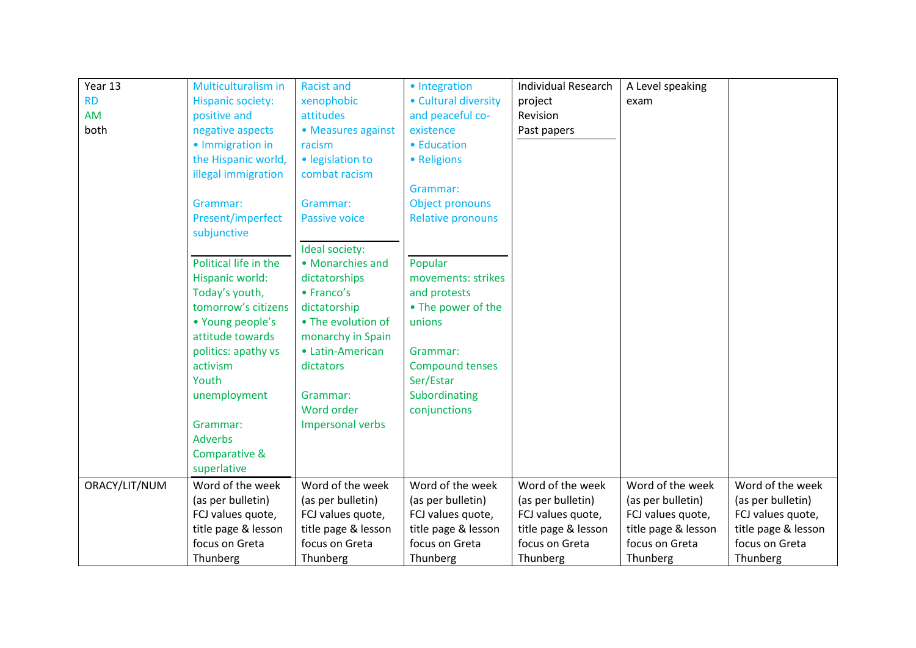| Year 13       | Multiculturalism in      | <b>Racist and</b>    | · Integration            | <b>Individual Research</b> | A Level speaking    |                     |
|---------------|--------------------------|----------------------|--------------------------|----------------------------|---------------------|---------------------|
| <b>RD</b>     | <b>Hispanic society:</b> | xenophobic           | • Cultural diversity     | project                    | exam                |                     |
| AM            | positive and             | attitudes            | and peaceful co-         | Revision                   |                     |                     |
| both          | negative aspects         | • Measures against   | existence                | Past papers                |                     |                     |
|               | • Immigration in         | racism               | • Education              |                            |                     |                     |
|               | the Hispanic world,      | · legislation to     | • Religions              |                            |                     |                     |
|               | illegal immigration      | combat racism        |                          |                            |                     |                     |
|               |                          |                      | Grammar:                 |                            |                     |                     |
|               | Grammar:                 | Grammar:             | Object pronouns          |                            |                     |                     |
|               | Present/imperfect        | <b>Passive voice</b> | <b>Relative pronouns</b> |                            |                     |                     |
|               | subjunctive              |                      |                          |                            |                     |                     |
|               |                          | Ideal society:       |                          |                            |                     |                     |
|               | Political life in the    | • Monarchies and     | Popular                  |                            |                     |                     |
|               | Hispanic world:          | dictatorships        | movements: strikes       |                            |                     |                     |
|               | Today's youth,           | • Franco's           | and protests             |                            |                     |                     |
|               | tomorrow's citizens      | dictatorship         | • The power of the       |                            |                     |                     |
|               | • Young people's         | • The evolution of   | unions                   |                            |                     |                     |
|               | attitude towards         | monarchy in Spain    |                          |                            |                     |                     |
|               | politics: apathy vs      | • Latin-American     | Grammar:                 |                            |                     |                     |
|               | activism                 | dictators            | <b>Compound tenses</b>   |                            |                     |                     |
|               | Youth                    |                      | Ser/Estar                |                            |                     |                     |
|               | unemployment             | Grammar:             | Subordinating            |                            |                     |                     |
|               |                          | Word order           | conjunctions             |                            |                     |                     |
|               | Grammar:                 | Impersonal verbs     |                          |                            |                     |                     |
|               | <b>Adverbs</b>           |                      |                          |                            |                     |                     |
|               | Comparative &            |                      |                          |                            |                     |                     |
|               | superlative              |                      |                          |                            |                     |                     |
| ORACY/LIT/NUM | Word of the week         | Word of the week     | Word of the week         | Word of the week           | Word of the week    | Word of the week    |
|               | (as per bulletin)        | (as per bulletin)    | (as per bulletin)        | (as per bulletin)          | (as per bulletin)   | (as per bulletin)   |
|               | FCJ values quote,        | FCJ values quote,    | FCJ values quote,        | FCJ values quote,          | FCJ values quote,   | FCJ values quote,   |
|               | title page & lesson      | title page & lesson  | title page & lesson      | title page & lesson        | title page & lesson | title page & lesson |
|               | focus on Greta           | focus on Greta       | focus on Greta           | focus on Greta             | focus on Greta      | focus on Greta      |
|               | Thunberg                 | Thunberg             | Thunberg                 | Thunberg                   | Thunberg            | Thunberg            |